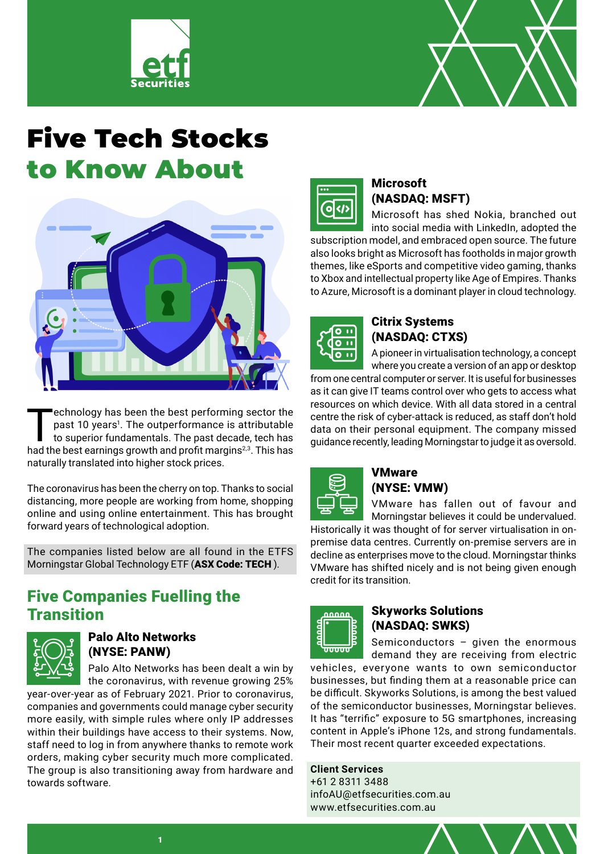



# Five Tech Stocks to Know About



Technology has been the best performing sector the past 10 years<sup>1</sup>. The outperformance is attributable to superior fundamentals. The past decade, tech has bed the best estimate growth and profit marging<sup>23</sup>. This base past 10 years<sup>1</sup>. The outperformance is attributable had the best earnings growth and profit margins<sup>2,3</sup>. This has naturally translated into higher stock prices.

The coronavirus has been the cherry on top. Thanks to social distancing, more people are working from home, shopping online and using online entertainment. This has brought forward years of technological adoption.

The companies listed below are all found in the ETFS Morningstar Global Technology ETF ([ASX Code: TECH](https://www.etfsecurities.com.au/product/tech)).

# Five Companies Fuelling the **Transition**



## Palo Alto Networks (NYSE: PANW)

Palo Alto Networks has been dealt a win by the coronavirus, with revenue growing 25%

year-over-year as of February 2021. Prior to coronavirus, companies and governments could manage cyber security more easily, with simple rules where only IP addresses within their buildings have access to their systems. Now, staff need to log in from anywhere thanks to remote work orders, making cyber security much more complicated. The group is also transitioning away from hardware and towards software.



### **Microsoft** (NASDAQ: MSFT)

Microsoft has shed Nokia, branched out into social media with LinkedIn, adopted the

subscription model, and embraced open source. The future also looks bright as Microsoft has footholds in major growth themes, like eSports and competitive video gaming, thanks to Xbox and intellectual property like Age of Empires. Thanks to Azure, Microsoft is a dominant player in cloud technology.



#### Citrix Systems (NASDAQ: CTXS)

A pioneer in virtualisation technology, a concept where you create a version of an app or desktop

from one central computer or server. It is useful for businesses as it can give IT teams control over who gets to access what resources on which device. With all data stored in a central centre the risk of cyber-attack is reduced, as staff don't hold data on their personal equipment. The company missed guidance recently, leading Morningstar to judge it as oversold.



#### **VMware** (NYSE: VMW)

VMware has fallen out of favour and Morningstar believes it could be undervalued.

Historically it was thought of for server virtualisation in onpremise data centres. Currently on-premise servers are in decline as enterprises move to the cloud. Morningstar thinks VMware has shifted nicely and is not being given enough credit for its transition.



### Skyworks Solutions (NASDAQ: SWKS)

Semiconductors – given the enormous demand they are receiving from electric

vehicles, everyone wants to own semiconductor businesses, but finding them at a reasonable price can be difficult. Skyworks Solutions, is among the best valued of the semiconductor businesses, Morningstar believes. It has "terrific" exposure to 5G smartphones, increasing content in Apple's iPhone 12s, and strong fundamentals. Their most recent quarter exceeded expectations.

**Client Services** +61 2 8311 3488 infoAU@etfsecurities.com.au www.etfsecurities.com.au